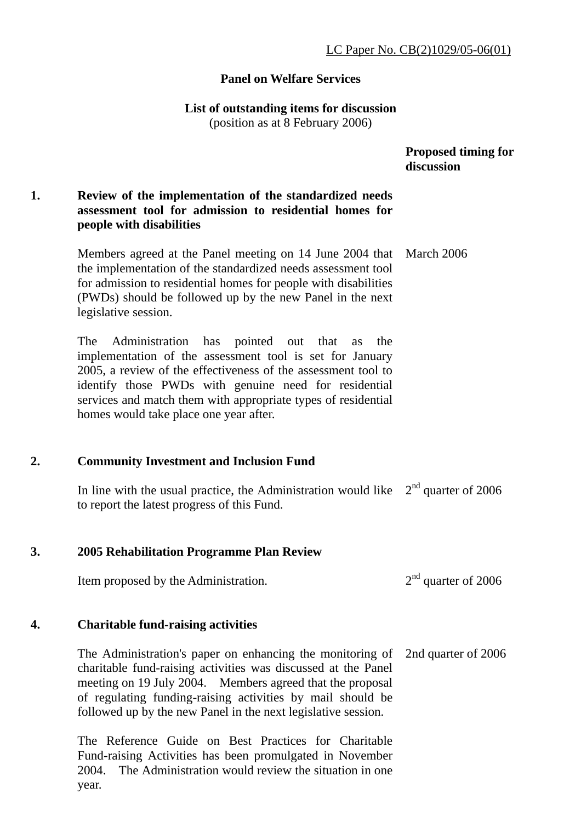### **Panel on Welfare Services**

### **List of outstanding items for discussion**

(position as at 8 February 2006)

 **Proposed timing for discussion** 

### **1. Review of the implementation of the standardized needs assessment tool for admission to residential homes for people with disabilities**

Members agreed at the Panel meeting on 14 June 2004 that the implementation of the standardized needs assessment tool for admission to residential homes for people with disabilities (PWDs) should be followed up by the new Panel in the next legislative session. March 2006

The Administration has pointed out that as the implementation of the assessment tool is set for January 2005, a review of the effectiveness of the assessment tool to identify those PWDs with genuine need for residential services and match them with appropriate types of residential homes would take place one year after.

### **2. Community Investment and Inclusion Fund**

In line with the usual practice, the Administration would like  $2<sup>nd</sup>$  quarter of 2006 to report the latest progress of this Fund.

### **3. 2005 Rehabilitation Programme Plan Review**

Item proposed by the Administration.  $2<sup>nd</sup>$  quarter of 2006

### **4. Charitable fund-raising activities**

The Administration's paper on enhancing the monitoring of charitable fund-raising activities was discussed at the Panel meeting on 19 July 2004. Members agreed that the proposal of regulating funding-raising activities by mail should be followed up by the new Panel in the next legislative session. 2nd quarter of 2006

The Reference Guide on Best Practices for Charitable Fund-raising Activities has been promulgated in November 2004. The Administration would review the situation in one year.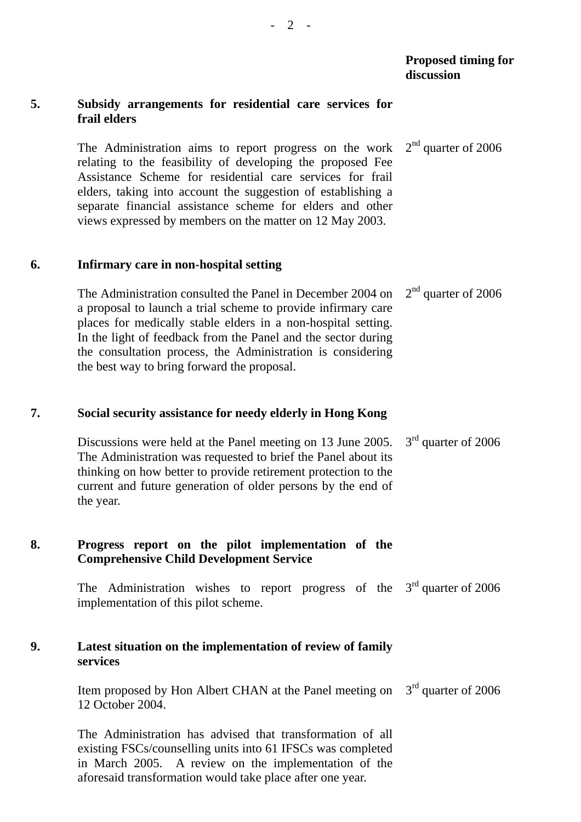#### **5. Subsidy arrangements for residential care services for frail elders**

The Administration aims to report progress on the work relating to the feasibility of developing the proposed Fee Assistance Scheme for residential care services for frail elders, taking into account the suggestion of establishing a separate financial assistance scheme for elders and other views expressed by members on the matter on 12 May 2003. 2<sup>nd</sup> quarter of 2006

#### **6. Infirmary care in non-hospital setting**

The Administration consulted the Panel in December 2004 on a proposal to launch a trial scheme to provide infirmary care places for medically stable elders in a non-hospital setting. In the light of feedback from the Panel and the sector during the consultation process, the Administration is considering the best way to bring forward the proposal. 2<sup>nd</sup> quarter of 2006

### **7. Social security assistance for needy elderly in Hong Kong**

Discussions were held at the Panel meeting on 13 June 2005. The Administration was requested to brief the Panel about its thinking on how better to provide retirement protection to the current and future generation of older persons by the end of the year. 3<sup>rd</sup> quarter of 2006

# **8. Progress report on the pilot implementation of the Comprehensive Child Development Service**

The Administration wishes to report progress of the  $3<sup>rd</sup>$  quarter of 2006 implementation of this pilot scheme.

### **9. Latest situation on the implementation of review of family services**

Item proposed by Hon Albert CHAN at the Panel meeting on 12 October 2004. 3<sup>rd</sup> quarter of 2006

The Administration has advised that transformation of all existing FSCs/counselling units into 61 IFSCs was completed in March 2005. A review on the implementation of the aforesaid transformation would take place after one year.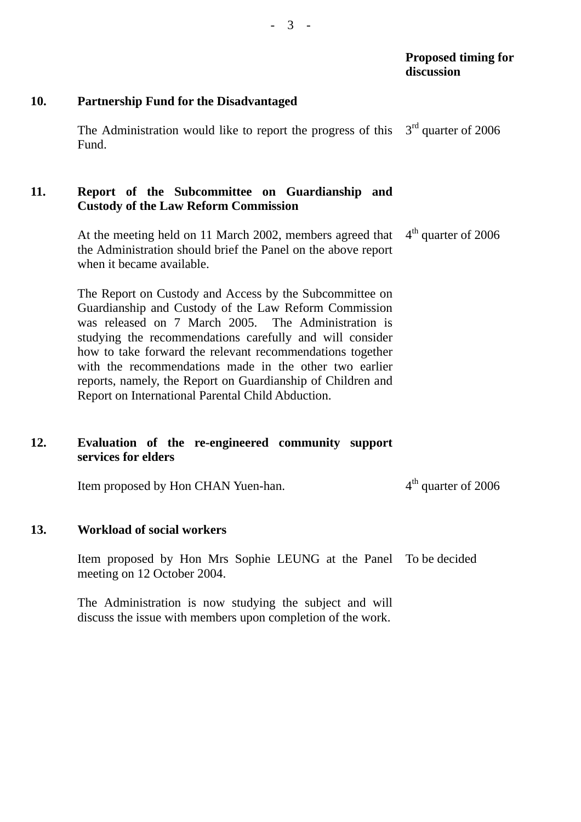# **10. Partnership Fund for the Disadvantaged**

The Administration would like to report the progress of this Fund. 3<sup>rd</sup> quarter of 2006

# **11. Report of the Subcommittee on Guardianship and Custody of the Law Reform Commission**

At the meeting held on 11 March 2002, members agreed that the Administration should brief the Panel on the above report when it became available. 4<sup>th</sup> quarter of 2006

The Report on Custody and Access by the Subcommittee on Guardianship and Custody of the Law Reform Commission was released on 7 March 2005. The Administration is studying the recommendations carefully and will consider how to take forward the relevant recommendations together with the recommendations made in the other two earlier reports, namely, the Report on Guardianship of Children and Report on International Parental Child Abduction.

# **12. Evaluation of the re-engineered community support services for elders**

Item proposed by Hon CHAN Yuen-han.  $4<sup>th</sup>$  quarter of 2006

# **13. Workload of social workers**

Item proposed by Hon Mrs Sophie LEUNG at the Panel To be decided meeting on 12 October 2004.

The Administration is now studying the subject and will discuss the issue with members upon completion of the work.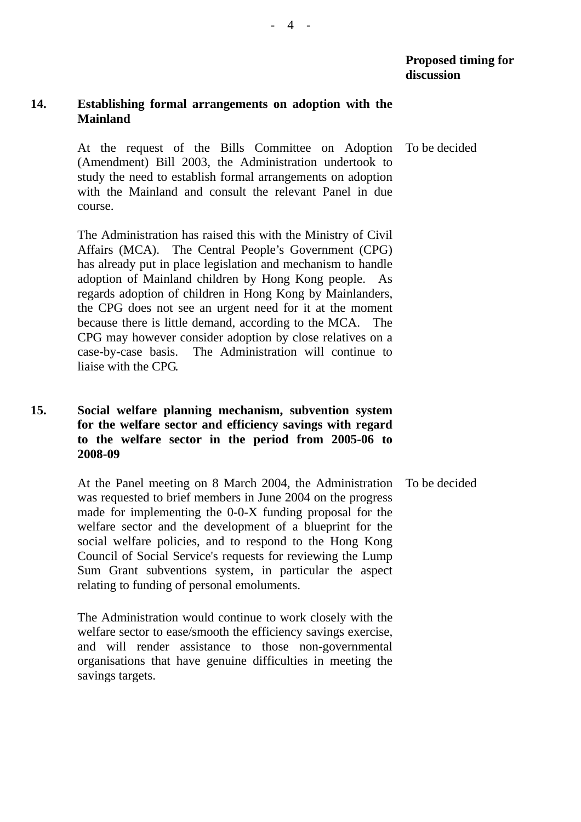### **14. Establishing formal arrangements on adoption with the Mainland**

At the request of the Bills Committee on Adoption (Amendment) Bill 2003, the Administration undertook to study the need to establish formal arrangements on adoption with the Mainland and consult the relevant Panel in due course. To be decided

The Administration has raised this with the Ministry of Civil Affairs (MCA). The Central People's Government (CPG) has already put in place legislation and mechanism to handle adoption of Mainland children by Hong Kong people. regards adoption of children in Hong Kong by Mainlanders, the CPG does not see an urgent need for it at the moment because there is little demand, according to the MCA. The CPG may however consider adoption by close relatives on a case-by-case basis. The Administration will continue to liaise with the CPG.

### **15. Social welfare planning mechanism, subvention system for the welfare sector and efficiency savings with regard to the welfare sector in the period from 2005-06 to 2008-09**

At the Panel meeting on 8 March 2004, the Administration was requested to brief members in June 2004 on the progress made for implementing the 0-0-X funding proposal for the welfare sector and the development of a blueprint for the social welfare policies, and to respond to the Hong Kong Council of Social Service's requests for reviewing the Lump Sum Grant subventions system, in particular the aspect relating to funding of personal emoluments. To be decided

The Administration would continue to work closely with the welfare sector to ease/smooth the efficiency savings exercise, and will render assistance to those non-governmental organisations that have genuine difficulties in meeting the savings targets.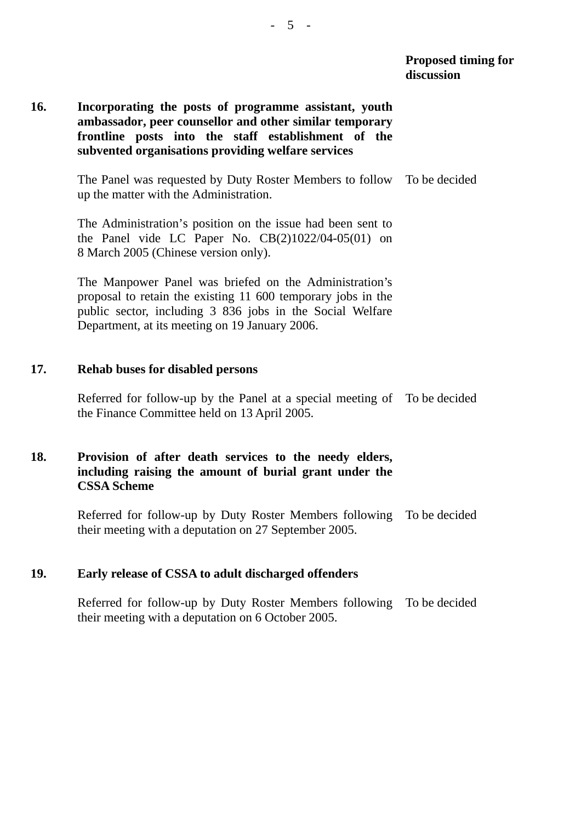### **16. Incorporating the posts of programme assistant, youth ambassador, peer counsellor and other similar temporary frontline posts into the staff establishment of the subvented organisations providing welfare services**

The Panel was requested by Duty Roster Members to follow To be decided up the matter with the Administration.

The Administration's position on the issue had been sent to the Panel vide LC Paper No.  $CB(2)1022/04-05(01)$  on 8 March 2005 (Chinese version only).

The Manpower Panel was briefed on the Administration's proposal to retain the existing 11 600 temporary jobs in the public sector, including 3 836 jobs in the Social Welfare Department, at its meeting on 19 January 2006.

#### **17. Rehab buses for disabled persons**

Referred for follow-up by the Panel at a special meeting of To be decided the Finance Committee held on 13 April 2005.

### **18. Provision of after death services to the needy elders, including raising the amount of burial grant under the CSSA Scheme**

Referred for follow-up by Duty Roster Members following To be decided their meeting with a deputation on 27 September 2005.

#### **19. Early release of CSSA to adult discharged offenders**

Referred for follow-up by Duty Roster Members following To be decided their meeting with a deputation on 6 October 2005.